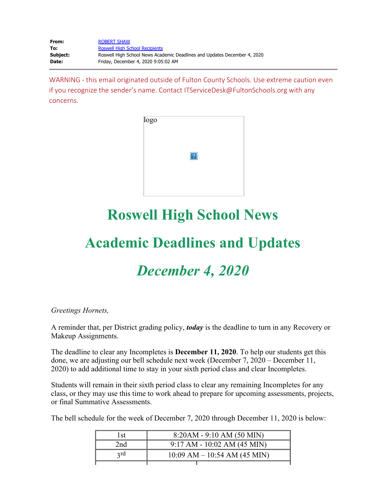| From:    | <b>ROBERT SHAW</b>                                                       |
|----------|--------------------------------------------------------------------------|
| To:      | <b>Roswell High School Recipients</b>                                    |
| Subject: | Roswell High School News Academic Deadlines and Updates December 4, 2020 |
| Date:    | Friday, December 4, 2020 9:05:02 AM                                      |

WARNING - this email originated outside of Fulton County Schools. Use extreme caution even if you recognize the sender's name. Contact ITServiceDesk@FultonSchools.org with any concerns.



# **Roswell High School News**

# **Academic Deadlines and Updates**

## *December 4, 2020*

#### *Greetings Hornets,*

A reminder that, per District grading policy, *today* is the deadline to turn in any Recovery or Makeup Assignments.

The deadline to clear any Incompletes is **December 11, 2020**. To help our students get this done, we are adjusting our bell schedule next week (December 7, 2020 – December 11, 2020) to add additional time to stay in your sixth period class and clear Incompletes.

Students will remain in their sixth period class to clear any remaining Incompletes for any class, or they may use this time to work ahead to prepare for upcoming assessments, projects, or final Summative Assessments.

The bell schedule for the week of December 7, 2020 through December 11, 2020 is below:

| l st            | $8:20AM - 9:10 AM (50 MIN)$      |  |  |
|-----------------|----------------------------------|--|--|
| 2 <sub>nd</sub> | $9:17$ AM - $10:02$ AM (45 MIN)  |  |  |
| 2rd             | $10:09$ AM $- 10:54$ AM (45 MIN) |  |  |
|                 |                                  |  |  |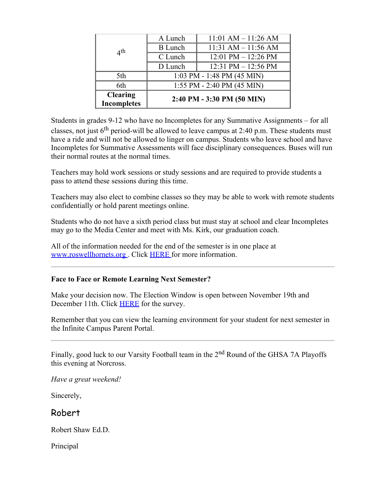|                                       | A Lunch                      | $11:01$ AM $- 11:26$ AM |  |
|---------------------------------------|------------------------------|-------------------------|--|
| 4 <sup>th</sup>                       | <b>B</b> Lunch               | $11:31 AM - 11:56 AM$   |  |
|                                       | C Lunch                      | $12:01$ PM $- 12:26$ PM |  |
|                                       | D Lunch                      | 12:31 PM $-$ 12:56 PM   |  |
| 5th                                   | $1:03$ PM - 1:48 PM (45 MIN) |                         |  |
| 6th                                   | 1:55 PM - 2:40 PM (45 MIN)   |                         |  |
| <b>Clearing</b><br><b>Incompletes</b> | 2:40 PM - 3:30 PM (50 MIN)   |                         |  |

Students in grades 9-12 who have no Incompletes for any Summative Assignments – for all classes, not just  $6<sup>th</sup>$  period-will be allowed to leave campus at 2:40 p.m. These students must have a ride and will not be allowed to linger on campus. Students who leave school and have Incompletes for Summative Assessments will face disciplinary consequences. Buses will run their normal routes at the normal times.

Teachers may hold work sessions or study sessions and are required to provide students a pass to attend these sessions during this time.

Teachers may also elect to combine classes so they may be able to work with remote students confidentially or hold parent meetings online.

Students who do not have a sixth period class but must stay at school and clear Incompletes may go to the Media Center and meet with Ms. Kirk, our graduation coach.

All of the information needed for the end of the semester is in one place at [www.roswellhornets.org](https://nam11.safelinks.protection.outlook.com/?url=http%3A%2F%2Fwww.roswellhornets.org%2F&data=04%7C01%7Cmurphys%40fultonschools.org%7Cf9ee01e7f1384ce3129308d8985d9640%7C0cdcb19881694b70ba9fda7e3ba700c2%7C1%7C0%7C637426875016214960%7CUnknown%7CTWFpbGZsb3d8eyJWIjoiMC4wLjAwMDAiLCJQIjoiV2luMzIiLCJBTiI6Ik1haWwiLCJXVCI6Mn0%3D%7C1000&sdata=ln6peoISK%2Fdf2bBDUYADMtBozOHvoZ%2B6iVP1jHGgMBU%3D&reserved=0) . Click [HERE](https://www.fultonschools.org/cms/lib/GA50000114/Centricity/ModuleInstance/50391/Community20202021.pdf) for more information.

#### **Face to Face or Remote Learning Next Semester?**

Make your decision now. The Election Window is open between November 19th and December 11th. Click **[HERE](https://nam11.safelinks.protection.outlook.com/?url=https%3A%2F%2Ffultonschools.az1.qualtrics.com%2Fjfe%2Fform%2FSV_1SlCTwRkD5mz8mp&data=04%7C01%7Cmurphys%40fultonschools.org%7Cf9ee01e7f1384ce3129308d8985d9640%7C0cdcb19881694b70ba9fda7e3ba700c2%7C1%7C0%7C637426875016214960%7CUnknown%7CTWFpbGZsb3d8eyJWIjoiMC4wLjAwMDAiLCJQIjoiV2luMzIiLCJBTiI6Ik1haWwiLCJXVCI6Mn0%3D%7C1000&sdata=J1PFYF1XfIel3DV1dJTyi6IocY3KpRiYQaAF%2FDQyI9g%3D&reserved=0)** for the survey.

Remember that you can view the learning environment for your student for next semester in the Infinite Campus Parent Portal.

Finally, good luck to our Varsity Football team in the 2<sup>nd</sup> Round of the GHSA 7A Playoffs this evening at Norcross.

*Have a great weekend!*

Sincerely,

Robert

Robert Shaw Ed.D.

Principal